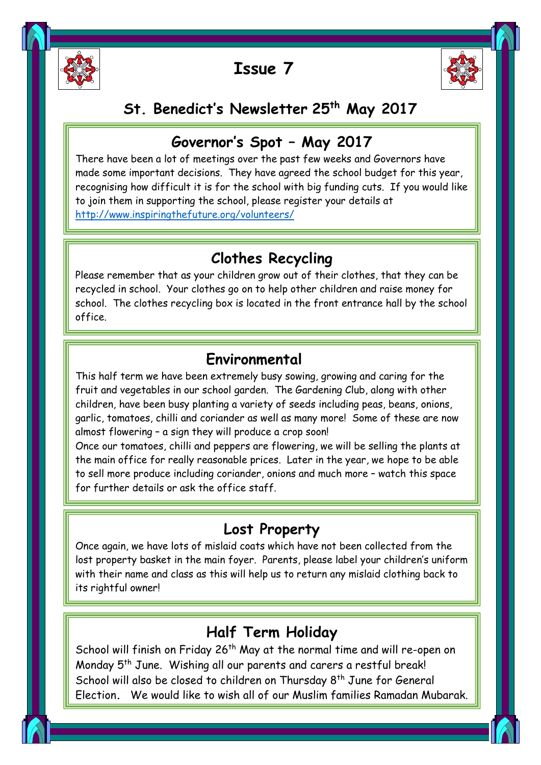

ĺ

i<br>I

Ī

## **Issue 7**



## **St. Benedict's Newsletter 25th May 2017**

## **Governor's Spot – May 2017**

 There have been a lot of meetings over the past few weeks and Governors have made some important decisions. They have agreed the school budget for this year, recognising how difficult it is for the school with big funding cuts. If you would like to join them in supporting the school, please register your details at <http://www.inspiringthefuture.org/volunteers/>

## **Clothes Recycling**

Please remember that as your children grow out of their clothes, that they can be recycled in school. Your clothes go on to help other children and raise money for school. The clothes recycling box is located in the front entrance hall by the school office.

### **Environmental**

 This half term we have been extremely busy sowing, growing and caring for the fruit and vegetables in our school garden. The Gardening Club, along with other children, have been busy planting a variety of seeds including peas, beans, onions, almost flowering – a sign they will produce a crop soon! garlic, tomatoes, chilli and coriander as well as many more! Some of these are now

 Once our tomatoes, chilli and peppers are flowering, we will be selling the plants at the main office for really reasonable prices. Earer in the year, we hope to be able<br>to sell more produce including coriander, onions and much more - watch this space for further details or ask the office staff. the main office for really reasonable prices. Later in the year, we hope to be able

# **Lost Property**

 Once again, we have lots of mislaid coats which have not been collected from the iost property basket in the main toyer. Parents, piease label your chilarens unitor<br>with their name and class as this will help us to return any mislaid clothing back to its rightful owner! lost property basket in the main foyer. Parents, please label your children's uniform

# **Half Term Holiday**

School will finish on Friday 26<sup>th</sup> May at the normal time and will re-open on Monday 5<sup>th</sup> June. Wishing all our parents and carers a restful break! School will also be closed to children on Thursday 8<sup>th</sup> June for General Election**.** We would like to wish all of our Muslim families Ramadan Mubarak.